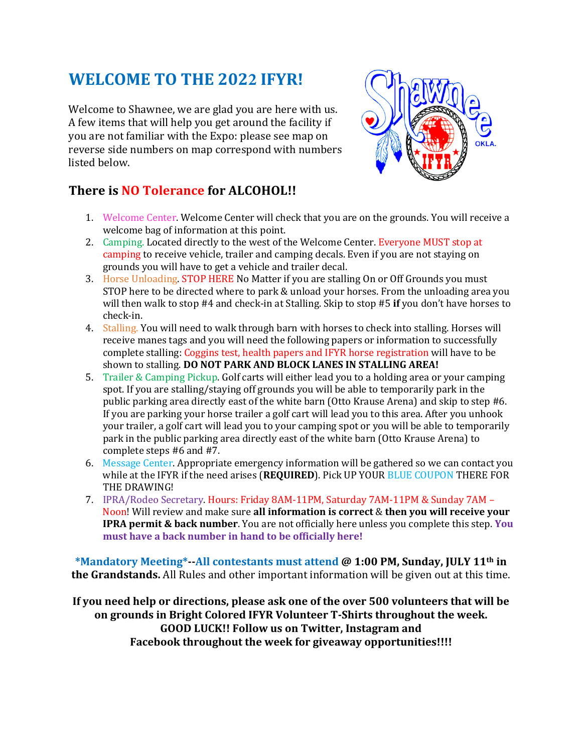## **WELCOME TO THE 2022 IFYR!**

Welcome to Shawnee, we are glad you are here with us. A few items that will help you get around the facility if you are not familiar with the Expo: please see map on reverse side numbers on map correspond with numbers listed below.

## **There** is **NO** Tolerance for ALCOHOL!!



- 1. Welcome Center. Welcome Center will check that you are on the grounds. You will receive a welcome bag of information at this point.
- 2. Camping. Located directly to the west of the Welcome Center. Everyone MUST stop at camping to receive vehicle, trailer and camping decals. Even if you are not staying on grounds you will have to get a vehicle and trailer decal.
- 3. Horse Unloading. STOP HERE No Matter if you are stalling On or Off Grounds you must STOP here to be directed where to park & unload your horses. From the unloading area you will then walk to stop #4 and check-in at Stalling. Skip to stop #5 if you don't have horses to check-in.
- 4. Stalling. You will need to walk through barn with horses to check into stalling. Horses will receive manes tags and you will need the following papers or information to successfully complete stalling: Coggins test, health papers and IFYR horse registration will have to be shown to stalling. DO NOT PARK AND BLOCK LANES IN STALLING AREA!
- 5. Trailer & Camping Pickup. Golf carts will either lead you to a holding area or your camping spot. If you are stalling/staying off grounds you will be able to temporarily park in the public parking area directly east of the white barn (Otto Krause Arena) and skip to step #6. If you are parking your horse trailer a golf cart will lead you to this area. After you unhook your trailer, a golf cart will lead you to your camping spot or you will be able to temporarily park in the public parking area directly east of the white barn (Otto Krause Arena) to complete steps #6 and #7.
- 6. Message Center. Appropriate emergency information will be gathered so we can contact you while at the IFYR if the need arises (REQUIRED). Pick UP YOUR BLUE COUPON THERE FOR THE DRAWING!
- 7. IPRA/Rodeo Secretary. Hours: Friday 8AM-11PM, Saturday 7AM-11PM & Sunday 7AM -Noon! Will review and make sure all information is correct & then you will receive your **IPRA permit & back number**. You are not officially here unless you complete this step. You must have a back number in hand to be officially here!

**\*Mandatory Meeting\*--All contestants must attend @ 1:00 PM, Sunday, JULY 11th in the Grandstands.** All Rules and other important information will be given out at this time.

If you need help or directions, please ask one of the over 500 volunteers that will be on grounds in Bright Colored IFYR Volunteer T-Shirts throughout the week. **GOOD LUCK!! Follow us on Twitter, Instagram and** Facebook throughout the week for giveaway opportunities!!!!